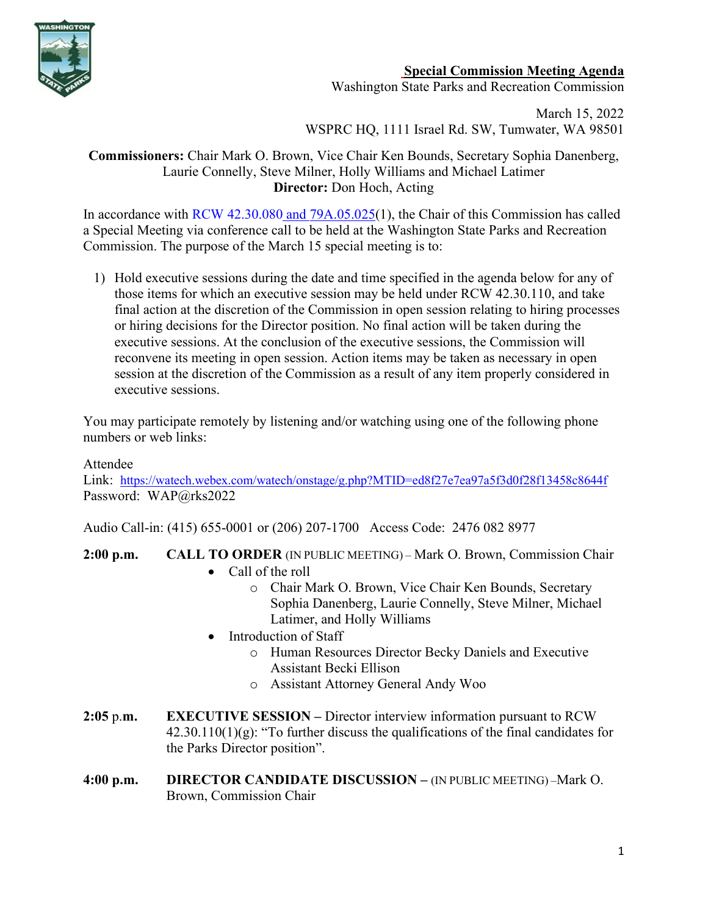

## **Special Commission Meeting Agenda**

Washington State Parks and Recreation Commission

March 15, 2022 WSPRC HQ, 1111 Israel Rd. SW, Tumwater, WA 98501

## **Commissioners:** Chair Mark O. Brown, Vice Chair Ken Bounds, Secretary Sophia Danenberg, Laurie Connelly, Steve Milner, Holly Williams and Michael Latimer **Director:** Don Hoch, Acting

In accordance with [RCW 42.30.080](https://gcc02.safelinks.protection.outlook.com/?url=http%3A%2F%2Fapp.leg.wa.gov%2FRCW%2Fdefault.aspx%3Fcite%3D42.30.080&data=04%7C01%7CBecki.Ellison%40parks.wa.gov%7C9d0a10a54cda45f96e1a08d8a37f32d5%7C11d0e217264e400a8ba057dcc127d72d%7C0%7C0%7C637439113993792876%7CUnknown%7CTWFpbGZsb3d8eyJWIjoiMC4wLjAwMDAiLCJQIjoiV2luMzIiLCJBTiI6Ik1haWwiLCJXVCI6Mn0%3D%7C1000&sdata=dvFG7wtQixDX%2BxAzXhZJkkn%2Bo1RvVDrbL8ymhX5GnQg%3D&reserved=0) and [79A.05.025\(](http://app.leg.wa.gov/RCW/default.aspx?cite=79A.05.025)1), the Chair of this Commission has called a Special Meeting via conference call to be held at the Washington State Parks and Recreation Commission. The purpose of the March 15 special meeting is to:

1) Hold executive sessions during the date and time specified in the agenda below for any of those items for which an executive session may be held under RCW 42.30.110, and take final action at the discretion of the Commission in open session relating to hiring processes or hiring decisions for the Director position. No final action will be taken during the executive sessions. At the conclusion of the executive sessions, the Commission will reconvene its meeting in open session. Action items may be taken as necessary in open session at the discretion of the Commission as a result of any item properly considered in executive sessions.

You may participate remotely by listening and/or watching using one of the following phone numbers or web links:

## Attendee

Link: <https://watech.webex.com/watech/onstage/g.php?MTID=ed8f27e7ea97a5f3d0f28f13458c8644f> Password: WAP@rks2022

Audio Call-in: (415) 655-0001 or (206) 207-1700 Access Code: 2476 082 8977

**2:00 p.m. CALL TO ORDER** (IN PUBLIC MEETING) – Mark O. Brown, Commission Chair

- Call of the roll
	- o Chair Mark O. Brown, Vice Chair Ken Bounds, Secretary Sophia Danenberg, Laurie Connelly, Steve Milner, Michael Latimer, and Holly Williams
- Introduction of Staff
	- o Human Resources Director Becky Daniels and Executive Assistant Becki Ellison
	- o Assistant Attorney General Andy Woo
- **2:05** p.**m. EXECUTIVE SESSION –** Director interview information pursuant to RCW  $42.30.110(1)(g)$ : "To further discuss the qualifications of the final candidates for the Parks Director position".
- **4:00 p.m. DIRECTOR CANDIDATE DISCUSSION –** (IN PUBLIC MEETING) –Mark O. Brown, Commission Chair